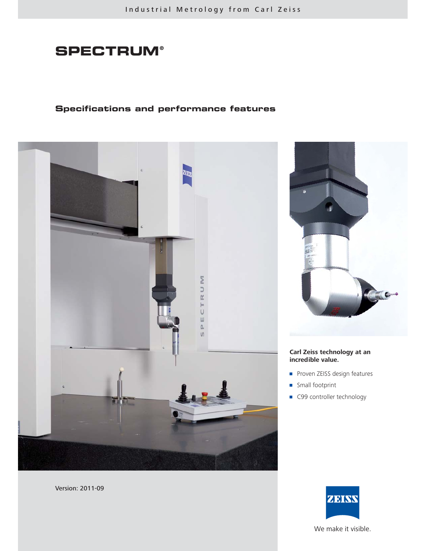# **SPECTRUM®**

# **Specifications and performance features**



Version: 2011-09

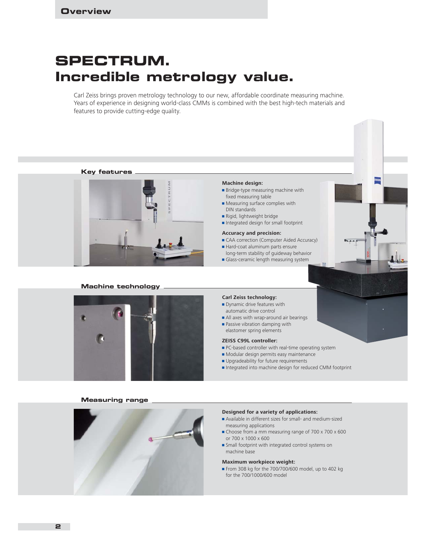# **SPECTRUM. Incredible metrology value.**

Carl Zeiss brings proven metrology technology to our new, affordable coordinate measuring machine. Years of experience in designing world-class CMMs is combined with the best high-tech materials and features to provide cutting-edge quality.



machine base

### **Maximum workpiece weight:**

From 308 kg for the 700/700/600 model, up to 402 kg for the 700/1000/600 model

**2**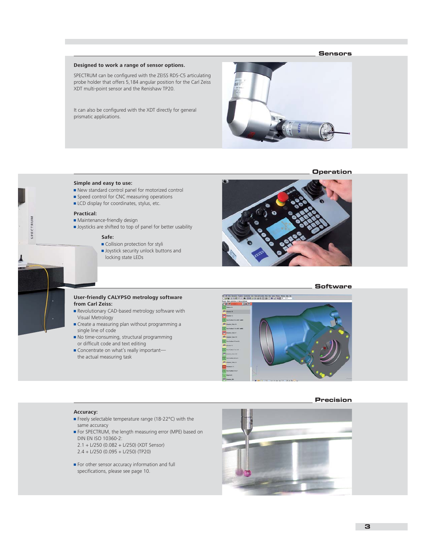### **Sensors**

# **Designed to work a range of sensor options.**

SPECTRUM can be configured with the ZEISS RDS-C5 articulating probe holder that offers 5,184 angular position for the Carl Zeiss XDT multi-point sensor and the Renishaw TP20.

It can also be configured with the XDT directly for general prismatic applications.



### **Operation**

#### **Simple and easy to use:**

- $\blacksquare$  New standard control panel for motorized control
- **Speed control for CNC measuring operations**
- $\blacksquare$  LCD display for coordinates, stylus, etc.

#### **Practical:**

SPECTRUM

- $\blacksquare$  Maintenance-friendly design
- **Joysticks are shifted to top of panel for better usability**

### **Safe:**

- Collision protection for styli
- **Joystick security unlock buttons and** locking state LEDs



#### **Software**

#### **User-friendly CALYPSO metrology software from Carl Zeiss:**

- Revolutionary CAD-based metrology software with Visual Metrology
- $\blacksquare$  Create a measuring plan without programming a single line of code
- $\blacksquare$  No time-consuming, structural programming or difficult code and text editing
- Concentrate on what's really importantthe actual measuring task



#### **Precision**

#### **Accuracy:**

- **Freely selectable temperature range (18-22°C) with the** same accuracy
- **For SPECTRUM**, the length measuring error (MPE) based on DIN EN ISO 10360-2:
- 2.1 + L/250 (0.082 + L/250) (XDT Sensor) 2.4 + L/250 (0.095 + L/250) (TP20)
- $\blacksquare$  For other sensor accuracy information and full specifications, please see page 10.

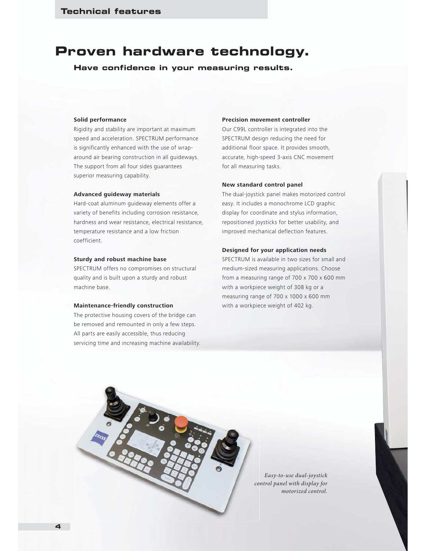# **Proven hardware technology.**

**Have confidence in your measuring results.**

### **Solid performance**

Rigidity and stability are important at maximum speed and acceleration. SPECTRUM performance is significantly enhanced with the use of wraparound air bearing construction in all guideways. The support from all four sides guarantees superior measuring capability.

## **Advanced guideway materials**

Hard-coat aluminum guideway elements offer a variety of benefits including corrosion resistance, hardness and wear resistance, electrical resistance, temperature resistance and a low friction coefficient.

## **Sturdy and robust machine base**

SPECTRUM offers no compromises on structural quality and is built upon a sturdy and robust machine base.

### **Maintenance-friendly construction**

The protective housing covers of the bridge can be removed and remounted in only a few steps. All parts are easily accessible, thus reducing servicing time and increasing machine availability.

## **Precision movement controller**

Our C99L controller is integrated into the SPECTRUM design reducing the need for additional floor space. It provides smooth, accurate, high-speed 3-axis CNC movement for all measuring tasks.

#### **New standard control panel**

The dual-joystick panel makes motorized control easy. It includes a monochrome LCD graphic display for coordinate and stylus information, repositioned joysticks for better usability, and improved mechanical deflection features.

# **Designed for your application needs**

SPECTRUM is available in two sizes for small and medium-sized measuring applications. Choose from a measuring range of 700 x 700 x 600 mm with a workpiece weight of 308 kg or a measuring range of 700 x 1000 x 600 mm with a workpiece weight of 402 kg.



*Easy-to-use dual-joystick control panel with display for co motorized control.*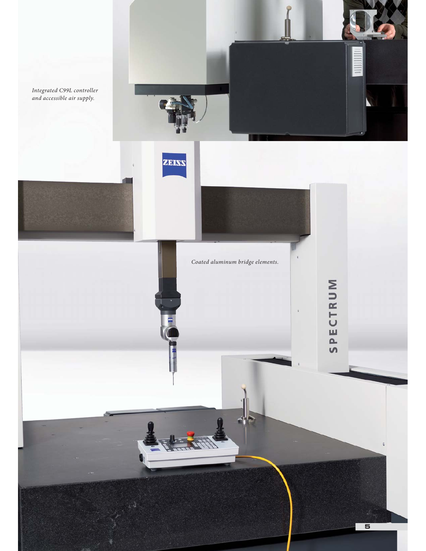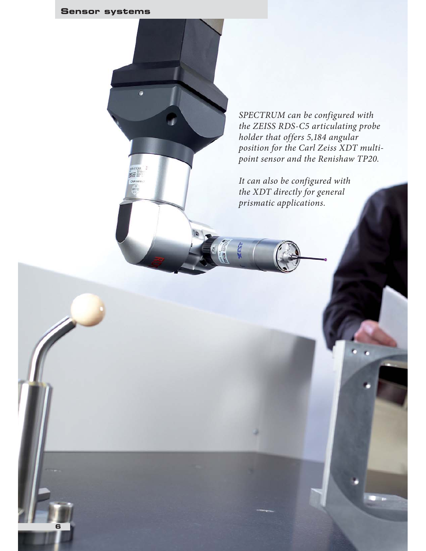# **Sensor systems**

**6**



*SPECTRUM can be configured with the ZEISS RDS-C5 articulating probe holder that offers 5,184 angular position for the Carl Zeiss XDT multipoint sensor and the Renishaw TP20.* 

*It can also be configured with the XDT directly for general prismatic applications.*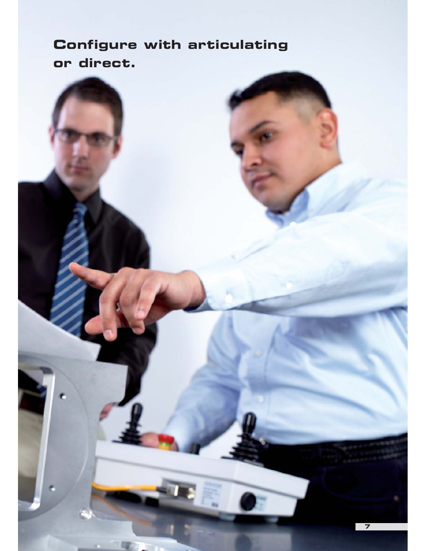# **Configure with articulating or direct.**

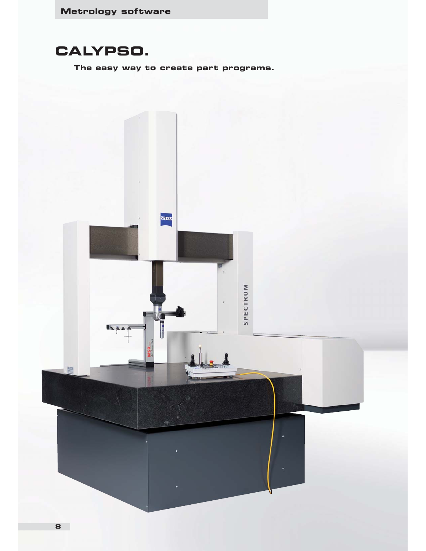# **CALYPSO.**

**The easy way to create part programs.**

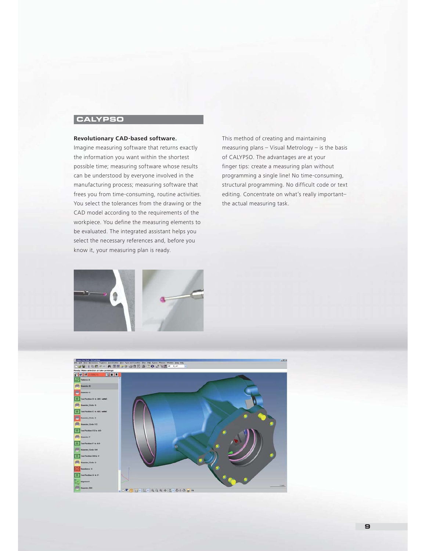# **CALYPSO**

# **Revolutionary CAD-based software.**

Imagine measuring software that returns exactly the information you want within the shortest possible time; measuring software whose results can be understood by everyone involved in the manufacturing process; measuring software that frees you from time-consuming, routine activities. You select the tolerances from the drawing or the CAD model according to the requirements of the workpiece. You define the measuring elements to be evaluated. The integrated assistant helps you select the necessary references and, before you know it, your measuring plan is ready.

This method of creating and maintaining measuring plans – Visual Metrology – is the basis of CALYPSO. The advantages are at your finger tips: create a measuring plan without programming a single line! No time-consuming, structural programming. No difficult code or text editing. Concentrate on what's really important– the actual measuring task.



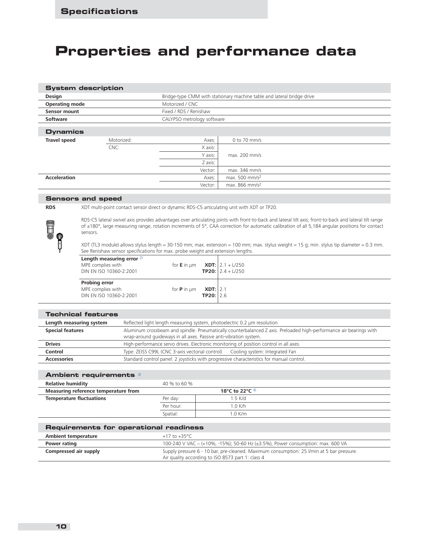# **Properties and performance data**

# **System description**

| <b>Design</b>         |            |                            | Bridge-type CMM with stationary machine table and lateral bridge drive |
|-----------------------|------------|----------------------------|------------------------------------------------------------------------|
| <b>Operating mode</b> |            | Motorized / CNC            |                                                                        |
| Sensor mount          |            | Fixed / RDS / Renishaw     |                                                                        |
| Software              |            | CALYPSO metrology software |                                                                        |
| <b>Dynamics</b>       |            |                            |                                                                        |
| <b>Travel speed</b>   | Motorized: | Axes:                      | 0 to 70 mm/s                                                           |
|                       | CNC:       | X axis:                    |                                                                        |
|                       |            | Y axis:                    | max. 200 mm/s                                                          |
|                       |            | Z axis:                    |                                                                        |
|                       |            | Vector:                    | max. 346 mm/s                                                          |
| <b>Acceleration</b>   |            | Axes:                      | max. 500 mm/s <sup>2</sup>                                             |
|                       |            | Vector:                    | max. 866 mm/s <sup>2</sup>                                             |

# **Sensors and speed**

**OHA** 

**RDS** XDT multi-point contact sensor direct or dynamic RDS-C5 articulating unit with XDT or TP20.

RDS-C5 lateral swivel axis provides advantages over articulating joints with front-to-back and lateral tilt axis; front-to-back and lateral tilt range of ±180°, large measuring range, rotation increments of 5°, CAA correction for automatic calibration of all 5,184 angular positions for contact sensors.

XDT (TL3 module) allows stylus length = 30-150 mm; max. extension = 100 mm; max. stylus weight = 15 g; min. stylus tip diameter = 0.3 mm. See Renishaw sensor specifications for max. probe weight and extension lengths.

| Length measuring error $2$ )<br>MPE complies with<br>DIN EN ISO 10360-2:2001 | for <b>E</b> in $\mu$ m <b>XDT:</b>   2.1 + L/250 |             | <b>TP20:</b> $ 2.4 + \frac{1}{250}$ |
|------------------------------------------------------------------------------|---------------------------------------------------|-------------|-------------------------------------|
| Probing error<br>MPE complies with<br>DIN EN ISO 10360-2:2001                | for <b>P</b> in $\mu$ m <b>XDT:</b> 2.1           | TP20: $2.6$ |                                     |

| <b>Technical features</b> |                                                                                                                    |  |  |  |  |
|---------------------------|--------------------------------------------------------------------------------------------------------------------|--|--|--|--|
| Length measuring system   | Reflected light length measuring system, photoelectric 0.2 um resolution                                           |  |  |  |  |
| <b>Special features</b>   | Aluminum crossbeam and spindle. Pneumatically counterbalanced Z axis. Preloaded high-performance air bearings with |  |  |  |  |
|                           | wrap-around guideways in all axes. Passive anti-vibration system.                                                  |  |  |  |  |
| <b>Drives</b>             | High-performance servo drives. Electronic monitoring of position control in all axes.                              |  |  |  |  |
| Control                   | Type: ZEISS C99L (CNC 3-axis vectorial control) Cooling system: Integrated Fan                                     |  |  |  |  |
| <b>Accessories</b>        | Standard control panel: 2 joysticks with progressive characteristics for manual control.                           |  |  |  |  |

| <b>Ambient requirements</b> 3)       |              |                  |  |
|--------------------------------------|--------------|------------------|--|
| <b>Relative humidity</b>             | 40 % to 60 % |                  |  |
| Measuring reference temperature from |              | 18°C to 22°C $4$ |  |
| <b>Temperature fluctuations</b>      | Per day:     | $1.5$ K/d        |  |
|                                      | Per hour:    | 1.0 K/h          |  |
|                                      | Spatial:     | $1.0$ K/m        |  |
|                                      |              |                  |  |

| Requirements for operational readiness |                                                                                           |  |  |  |  |
|----------------------------------------|-------------------------------------------------------------------------------------------|--|--|--|--|
| Ambient temperature                    | +17 to +35°C                                                                              |  |  |  |  |
| <b>Power rating</b>                    | 100-240 V VAC ~ (+10%, -15%); 50-60 Hz (±3.5%), Power consumption: max. 600 VA            |  |  |  |  |
| Compressed air supply                  | Supply pressure 6 - 10 bar, pre-cleaned. Maximum consumption: 25 I/min at 5 bar pressure. |  |  |  |  |
|                                        | Air quality according to ISO 8573 part 1: class 4                                         |  |  |  |  |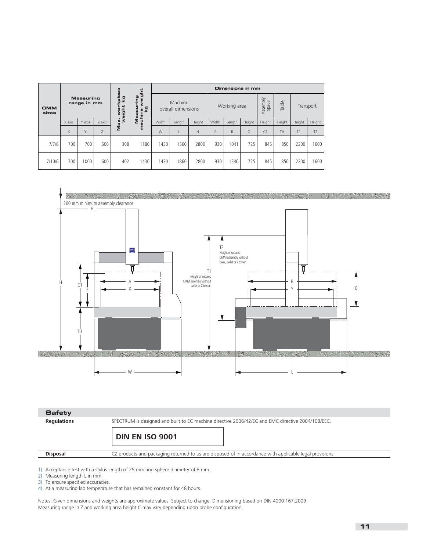|                                                                                                                                                    |        |                               |        | د         | <b>Dimensions in mm</b> |       |        |                            |                |           |           |                |        |        |                |
|----------------------------------------------------------------------------------------------------------------------------------------------------|--------|-------------------------------|--------|-----------|-------------------------|-------|--------|----------------------------|----------------|-----------|-----------|----------------|--------|--------|----------------|
| weigl<br>ה<br>$\overline{5}$<br><b>Measuring</b><br>÷<br>ĉ<br>range in mm<br>Έ<br>ш<br>hteie<br>kg<br><b>CMM</b><br>O<br>achine<br>8<br>sizes<br>ω |        | Machine<br>overall dimensions |        |           | Working area            |       |        | $\geq$<br>Assembl<br>space | Table          | Transport |           |                |        |        |                |
|                                                                                                                                                    | X axis | Y axis                        | Z axis | š<br>Max. | Σ                       | Width | Length | Height                     | Width          | Length    | Height    | Height         | Height | Height | Height         |
|                                                                                                                                                    | X      | Y                             | Z      |           |                         | W     |        | H                          | $\overline{A}$ | B         | $\subset$ | C <sub>1</sub> | TH     | T1     | T <sub>2</sub> |
| 7/7/6                                                                                                                                              | 700    | 700                           | 600    | 308       | 1180                    | 1430  | 1560   | 2800                       | 930            | 1041      | 725       | 845            | 850    | 2200   | 1600           |
| 7/10/6                                                                                                                                             | 700    | 1000                          | 600    | 402       | 1430                    | 1430  | 1860   | 2800                       | 930            | 346       | 725       | 845            | 850    | 2200   | 1600           |





**Regulations** SPECTRUM is designed and built to EC machine directive 2006/42/EC and EMC directive 2004/108/EEC.

**DIN EN ISO 9001**

**Disposal** CZ products and packaging returned to us are disposed of in accordance with applicable legal provisions.

1) Acceptance test with a stylus length of 25 mm and sphere diameter of 8 mm.

2) Measuring length L in mm.

3) To ensure specified accuracies.

4) At a measuring lab temperature that has remained constant for 48 hours.

Notes: Given dimensions and weights are approximate values. Subject to change. Dimensioning based on DIN 4000-167:2009. Measuring range in Z and working area height C may vary depending upon probe configuration.